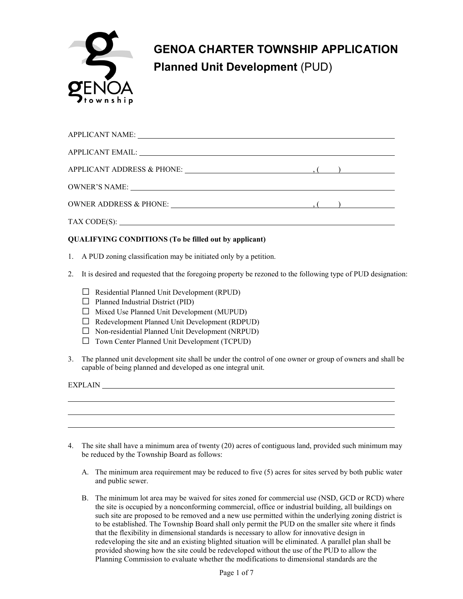

# **GENOA CHARTER TOWNSHIP APPLICATION Planned Unit Development** (PUD)

| APPLICANT EMAIL: University of the contract of the contract of the contract of the contract of the contract of the contract of the contract of the contract of the contract of the contract of the contract of the contract of |                          |
|--------------------------------------------------------------------------------------------------------------------------------------------------------------------------------------------------------------------------------|--------------------------|
|                                                                                                                                                                                                                                | $\overline{\phantom{a}}$ |
|                                                                                                                                                                                                                                |                          |
| OWNER ADDRESS & PHONE: (1)                                                                                                                                                                                                     | $\overline{\phantom{a}}$ |
| TAX CODE(S):                                                                                                                                                                                                                   |                          |

### **QUALIFYING CONDITIONS (To be filled out by applicant)**

- 1. A PUD zoning classification may be initiated only by a petition.
- 2. It is desired and requested that the foregoing property be rezoned to the following type of PUD designation:
	- $\Box$  Residential Planned Unit Development (RPUD)
	- $\Box$  Planned Industrial District (PID)
	- □ Mixed Use Planned Unit Development (MUPUD)
	- $\Box$  Redevelopment Planned Unit Development (RDPUD)
	- $\Box$  Non-residential Planned Unit Development (NRPUD)
	- □ Town Center Planned Unit Development (TCPUD)
- 3. The planned unit development site shall be under the control of one owner or group of owners and shall be capable of being planned and developed as one integral unit.

EXPLAIN **EXPLAIN** 

- 4. The site shall have a minimum area of twenty (20) acres of contiguous land, provided such minimum may be reduced by the Township Board as follows:
	- A. The minimum area requirement may be reduced to five (5) acres for sites served by both public water and public sewer.
	- B. The minimum lot area may be waived for sites zoned for commercial use (NSD, GCD or RCD) where the site is occupied by a nonconforming commercial, office or industrial building, all buildings on such site are proposed to be removed and a new use permitted within the underlying zoning district is to be established. The Township Board shall only permit the PUD on the smaller site where it finds that the flexibility in dimensional standards is necessary to allow for innovative design in redeveloping the site and an existing blighted situation will be eliminated. A parallel plan shall be provided showing how the site could be redeveloped without the use of the PUD to allow the Planning Commission to evaluate whether the modifications to dimensional standards are the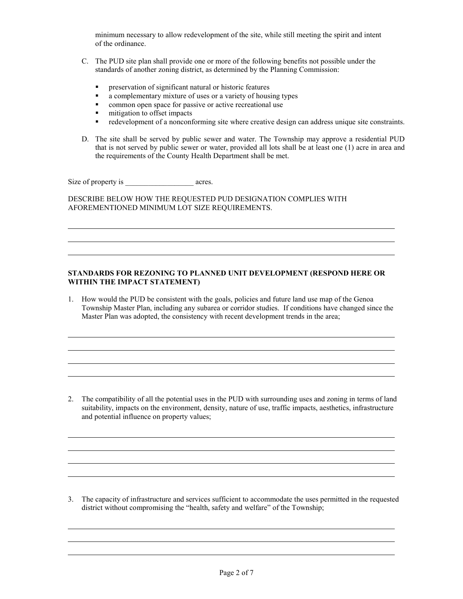minimum necessary to allow redevelopment of the site, while still meeting the spirit and intent of the ordinance.

- C. The PUD site plan shall provide one or more of the following benefits not possible under the standards of another zoning district, as determined by the Planning Commission:
	- **PEDIE:** preservation of significant natural or historic features
	- a complementary mixture of uses or a variety of housing types
	- **EXECUTE:** common open space for passive or active recreational use
	- mitigation to offset impacts<br>redevelopment of a nonconf
	- redevelopment of a nonconforming site where creative design can address unique site constraints.
- D. The site shall be served by public sewer and water. The Township may approve a residential PUD that is not served by public sewer or water, provided all lots shall be at least one (1) acre in area and the requirements of the County Health Department shall be met.

Size of property is \_\_\_\_\_\_\_\_\_\_\_\_\_\_\_\_\_\_ acres.

DESCRIBE BELOW HOW THE REQUESTED PUD DESIGNATION COMPLIES WITH AFOREMENTIONED MINIMUM LOT SIZE REQUIREMENTS.

#### **STANDARDS FOR REZONING TO PLANNED UNIT DEVELOPMENT (RESPOND HERE OR WITHIN THE IMPACT STATEMENT)**

1. How would the PUD be consistent with the goals, policies and future land use map of the Genoa Township Master Plan, including any subarea or corridor studies. If conditions have changed since the Master Plan was adopted, the consistency with recent development trends in the area;

2. The compatibility of all the potential uses in the PUD with surrounding uses and zoning in terms of land suitability, impacts on the environment, density, nature of use, traffic impacts, aesthetics, infrastructure and potential influence on property values;

3. The capacity of infrastructure and services sufficient to accommodate the uses permitted in the requested district without compromising the "health, safety and welfare" of the Township;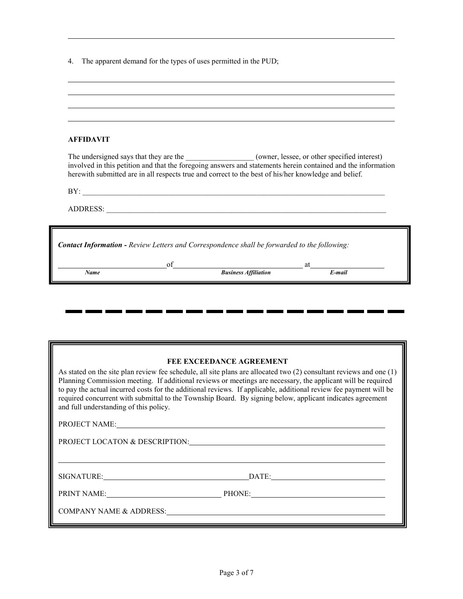| 4. The apparent demand for the types of uses permitted in the PUD; |  |  |
|--------------------------------------------------------------------|--|--|
|                                                                    |  |  |

**.** 

i i

a po

| <b>AFFIDAVIT</b>                                                                                     |    |                             |                                                                                                                                                                                                                            |  |
|------------------------------------------------------------------------------------------------------|----|-----------------------------|----------------------------------------------------------------------------------------------------------------------------------------------------------------------------------------------------------------------------|--|
| herewith submitted are in all respects true and correct to the best of his/her knowledge and belief. |    |                             | The undersigned says that they are the ______________________ (owner, lessee, or other specified interest)<br>involved in this petition and that the foregoing answers and statements herein contained and the information |  |
| BY:                                                                                                  |    |                             |                                                                                                                                                                                                                            |  |
|                                                                                                      |    |                             |                                                                                                                                                                                                                            |  |
|                                                                                                      |    |                             |                                                                                                                                                                                                                            |  |
| <b>Contact Information - Review Letters and Correspondence shall be forwarded to the following:</b>  |    |                             |                                                                                                                                                                                                                            |  |
|                                                                                                      |    |                             |                                                                                                                                                                                                                            |  |
|                                                                                                      | of | <b>Business Affiliation</b> | at<br>E-mail                                                                                                                                                                                                               |  |

#### **FEE EXCEEDANCE AGREEMENT**

 $\blacksquare$ 

 $\blacksquare$ 

. .

. .

. .

. .

**است** 

. .

As stated on the site plan review fee schedule, all site plans are allocated two (2) consultant reviews and one (1) Planning Commission meeting. If additional reviews or meetings are necessary, the applicant will be required to pay the actual incurred costs for the additional reviews. If applicable, additional review fee payment will be required concurrent with submittal to the Township Board. By signing below, applicant indicates agreement and full understanding of this policy.

PROJECT NAME:

PROJECT LOCATON & DESCRIPTION:

SIGNATURE: DATE:

<u> 1989 - Johann Barn, mars ann an t-Amhain Aonaich an t-Aonaich an t-Aonaich ann an t-Aonaich ann an t-Aonaich</u>

PRINT NAME: PHONE:

COMPANY NAME & ADDRESS: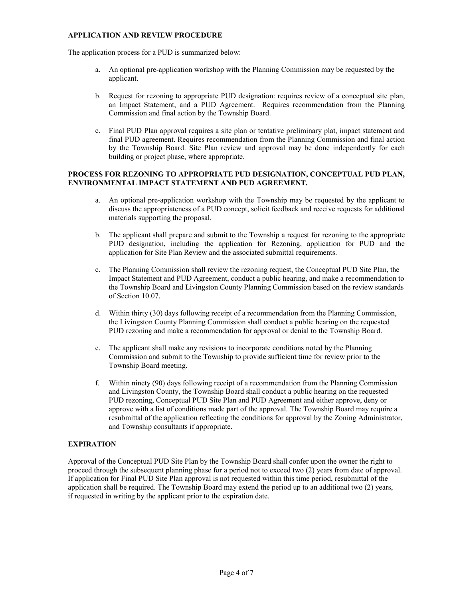#### **APPLICATION AND REVIEW PROCEDURE**

The application process for a PUD is summarized below:

- a. An optional pre-application workshop with the Planning Commission may be requested by the applicant.
- b. Request for rezoning to appropriate PUD designation: requires review of a conceptual site plan, an Impact Statement, and a PUD Agreement. Requires recommendation from the Planning Commission and final action by the Township Board.
- c. Final PUD Plan approval requires a site plan or tentative preliminary plat, impact statement and final PUD agreement. Requires recommendation from the Planning Commission and final action by the Township Board. Site Plan review and approval may be done independently for each building or project phase, where appropriate.

#### **PROCESS FOR REZONING TO APPROPRIATE PUD DESIGNATION, CONCEPTUAL PUD PLAN, ENVIRONMENTAL IMPACT STATEMENT AND PUD AGREEMENT.**

- a. An optional pre-application workshop with the Township may be requested by the applicant to discuss the appropriateness of a PUD concept, solicit feedback and receive requests for additional materials supporting the proposal.
- b. The applicant shall prepare and submit to the Township a request for rezoning to the appropriate PUD designation, including the application for Rezoning, application for PUD and the application for Site Plan Review and the associated submittal requirements.
- c. The Planning Commission shall review the rezoning request, the Conceptual PUD Site Plan, the Impact Statement and PUD Agreement, conduct a public hearing, and make a recommendation to the Township Board and Livingston County Planning Commission based on the review standards of Section 10.07.
- d. Within thirty (30) days following receipt of a recommendation from the Planning Commission, the Livingston County Planning Commission shall conduct a public hearing on the requested PUD rezoning and make a recommendation for approval or denial to the Township Board.
- e. The applicant shall make any revisions to incorporate conditions noted by the Planning Commission and submit to the Township to provide sufficient time for review prior to the Township Board meeting.
- f. Within ninety (90) days following receipt of a recommendation from the Planning Commission and Livingston County, the Township Board shall conduct a public hearing on the requested PUD rezoning, Conceptual PUD Site Plan and PUD Agreement and either approve, deny or approve with a list of conditions made part of the approval. The Township Board may require a resubmittal of the application reflecting the conditions for approval by the Zoning Administrator, and Township consultants if appropriate.

#### **EXPIRATION**

Approval of the Conceptual PUD Site Plan by the Township Board shall confer upon the owner the right to proceed through the subsequent planning phase for a period not to exceed two (2) years from date of approval. If application for Final PUD Site Plan approval is not requested within this time period, resubmittal of the application shall be required. The Township Board may extend the period up to an additional two (2) years, if requested in writing by the applicant prior to the expiration date.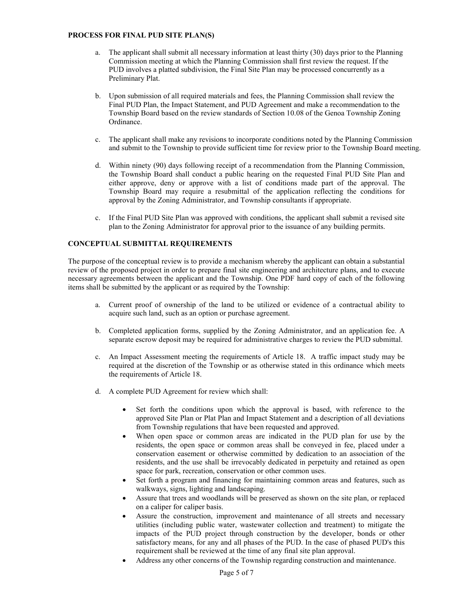#### **PROCESS FOR FINAL PUD SITE PLAN(S)**

- a. The applicant shall submit all necessary information at least thirty (30) days prior to the Planning Commission meeting at which the Planning Commission shall first review the request. If the PUD involves a platted subdivision, the Final Site Plan may be processed concurrently as a Preliminary Plat.
- b. Upon submission of all required materials and fees, the Planning Commission shall review the Final PUD Plan, the Impact Statement, and PUD Agreement and make a recommendation to the Township Board based on the review standards of Section 10.08 of the Genoa Township Zoning Ordinance.
- c. The applicant shall make any revisions to incorporate conditions noted by the Planning Commission and submit to the Township to provide sufficient time for review prior to the Township Board meeting.
- d. Within ninety (90) days following receipt of a recommendation from the Planning Commission, the Township Board shall conduct a public hearing on the requested Final PUD Site Plan and either approve, deny or approve with a list of conditions made part of the approval. The Township Board may require a resubmittal of the application reflecting the conditions for approval by the Zoning Administrator, and Township consultants if appropriate.
- c. If the Final PUD Site Plan was approved with conditions, the applicant shall submit a revised site plan to the Zoning Administrator for approval prior to the issuance of any building permits.

#### **CONCEPTUAL SUBMITTAL REQUIREMENTS**

The purpose of the conceptual review is to provide a mechanism whereby the applicant can obtain a substantial review of the proposed project in order to prepare final site engineering and architecture plans, and to execute necessary agreements between the applicant and the Township. One PDF hard copy of each of the following items shall be submitted by the applicant or as required by the Township:

- a. Current proof of ownership of the land to be utilized or evidence of a contractual ability to acquire such land, such as an option or purchase agreement.
- b. Completed application forms, supplied by the Zoning Administrator, and an application fee. A separate escrow deposit may be required for administrative charges to review the PUD submittal.
- c. An Impact Assessment meeting the requirements of Article 18. A traffic impact study may be required at the discretion of the Township or as otherwise stated in this ordinance which meets the requirements of Article 18.
- d. A complete PUD Agreement for review which shall:
	- Set forth the conditions upon which the approval is based, with reference to the approved Site Plan or Plat Plan and Impact Statement and a description of all deviations from Township regulations that have been requested and approved.
	- When open space or common areas are indicated in the PUD plan for use by the residents, the open space or common areas shall be conveyed in fee, placed under a conservation easement or otherwise committed by dedication to an association of the residents, and the use shall be irrevocably dedicated in perpetuity and retained as open space for park, recreation, conservation or other common uses.
	- Set forth a program and financing for maintaining common areas and features, such as walkways, signs, lighting and landscaping.
	- Assure that trees and woodlands will be preserved as shown on the site plan, or replaced on a caliper for caliper basis.
	- Assure the construction, improvement and maintenance of all streets and necessary utilities (including public water, wastewater collection and treatment) to mitigate the impacts of the PUD project through construction by the developer, bonds or other satisfactory means, for any and all phases of the PUD. In the case of phased PUD's this requirement shall be reviewed at the time of any final site plan approval.
	- Address any other concerns of the Township regarding construction and maintenance.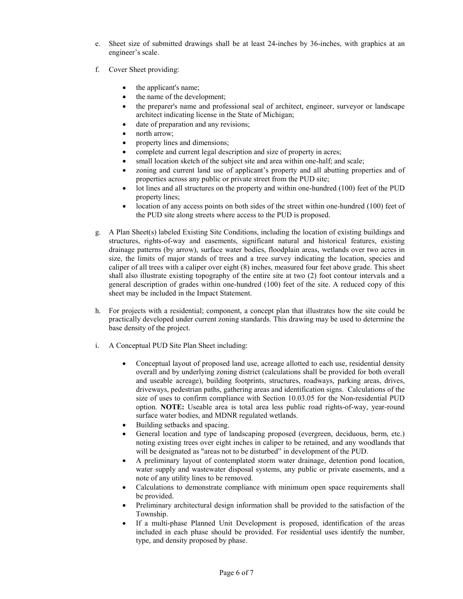- e. Sheet size of submitted drawings shall be at least 24-inches by 36-inches, with graphics at an engineer's scale.
- f. Cover Sheet providing:
	- the applicant's name;
	- the name of the development;
	- the preparer's name and professional seal of architect, engineer, surveyor or landscape architect indicating license in the State of Michigan;
	- date of preparation and any revisions;
	- north arrow;
	- property lines and dimensions;
	- complete and current legal description and size of property in acres;
	- small location sketch of the subject site and area within one-half; and scale;
	- zoning and current land use of applicant's property and all abutting properties and of properties across any public or private street from the PUD site;
	- lot lines and all structures on the property and within one-hundred (100) feet of the PUD property lines;
	- location of any access points on both sides of the street within one-hundred (100) feet of the PUD site along streets where access to the PUD is proposed.
- g. A Plan Sheet(s) labeled Existing Site Conditions, including the location of existing buildings and structures, rights-of-way and easements, significant natural and historical features, existing drainage patterns (by arrow), surface water bodies, floodplain areas, wetlands over two acres in size, the limits of major stands of trees and a tree survey indicating the location, species and caliper of all trees with a caliper over eight (8) inches, measured four feet above grade. This sheet shall also illustrate existing topography of the entire site at two (2) foot contour intervals and a general description of grades within one-hundred (100) feet of the site. A reduced copy of this sheet may be included in the Impact Statement.
- h. For projects with a residential; component, a concept plan that illustrates how the site could be practically developed under current zoning standards. This drawing may be used to determine the base density of the project.
- i. A Conceptual PUD Site Plan Sheet including:
	- Conceptual layout of proposed land use, acreage allotted to each use, residential density overall and by underlying zoning district (calculations shall be provided for both overall and useable acreage), building footprints, structures, roadways, parking areas, drives, driveways, pedestrian paths, gathering areas and identification signs. Calculations of the size of uses to confirm compliance with Section 10.03.05 for the Non-residential PUD option. **NOTE:** Useable area is total area less public road rights-of-way, year-round surface water bodies, and MDNR regulated wetlands.
	- Building setbacks and spacing.
	- General location and type of landscaping proposed (evergreen, deciduous, berm, etc.) noting existing trees over eight inches in caliper to be retained, and any woodlands that will be designated as "areas not to be disturbed" in development of the PUD.
	- A preliminary layout of contemplated storm water drainage, detention pond location, water supply and wastewater disposal systems, any public or private easements, and a note of any utility lines to be removed.
	- Calculations to demonstrate compliance with minimum open space requirements shall be provided.
	- Preliminary architectural design information shall be provided to the satisfaction of the Township.
	- If a multi-phase Planned Unit Development is proposed, identification of the areas included in each phase should be provided. For residential uses identify the number, type, and density proposed by phase.